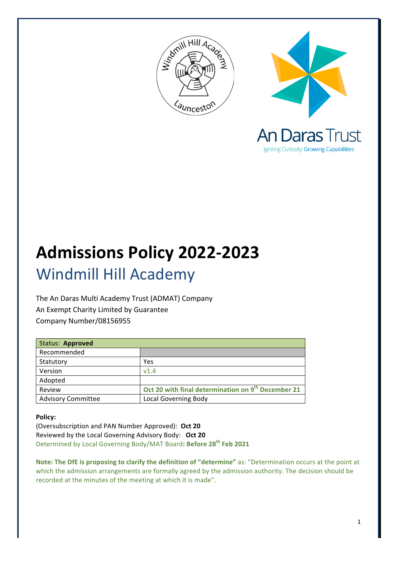



**Admissions Policy 2022-2023** Windmill Hill Academy

The An Daras Multi Academy Trust (ADMAT) Company An Exempt Charity Limited by Guarantee Company Number/08156955

| Status: Approved          |                                                                |
|---------------------------|----------------------------------------------------------------|
| Recommended               |                                                                |
| Statutory                 | Yes                                                            |
| Version                   | V1.4                                                           |
| Adopted                   |                                                                |
| Review                    | Oct 20 with final determination on 9 <sup>th</sup> December 21 |
| <b>Advisory Committee</b> | <b>Local Governing Body</b>                                    |

## **Policy:**

(Oversubscription and PAN Number Approved): **Oct 20** Reviewed by the Local Governing Advisory Body: Oct 20 Determined by Local Governing Body/MAT Board**: Before 28th Feb 2021**

**Note:** The DfE is proposing to clarify the definition of "determine" as: "Determination occurs at the point at which the admission arrangements are formally agreed by the admission authority. The decision should be recorded at the minutes of the meeting at which it is made".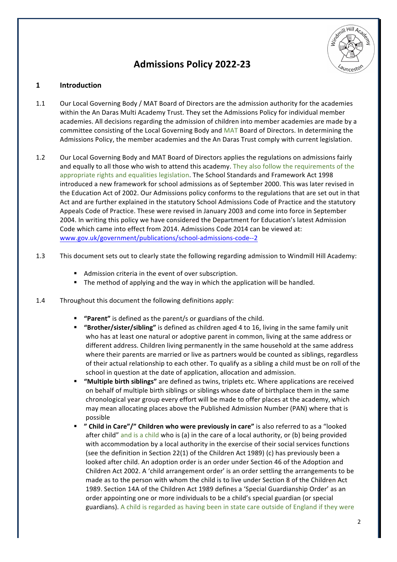# **Admissions Policy 2022-23**



## **1 Introduction**

- 1.1 Our Local Governing Body / MAT Board of Directors are the admission authority for the academies within the An Daras Multi Academy Trust. They set the Admissions Policy for individual member academies. All decisions regarding the admission of children into member academies are made by a committee consisting of the Local Governing Body and MAT Board of Directors. In determining the Admissions Policy, the member academies and the An Daras Trust comply with current legislation.
- 1.2 Our Local Governing Body and MAT Board of Directors applies the regulations on admissions fairly and equally to all those who wish to attend this academy. They also follow the requirements of the appropriate rights and equalities legislation. The School Standards and Framework Act 1998 introduced a new framework for school admissions as of September 2000. This was later revised in the Education Act of 2002. Our Admissions policy conforms to the regulations that are set out in that Act and are further explained in the statutory School Admissions Code of Practice and the statutory Appeals Code of Practice. These were revised in January 2003 and come into force in September 2004. In writing this policy we have considered the Department for Education's latest Admission Code which came into effect from 2014. Admissions Code 2014 can be viewed at: www.gov.uk/government/publications/school-admissions-code--2
- 1.3 This document sets out to clearly state the following regarding admission to Windmill Hill Academy:
	- Admission criteria in the event of over subscription.
	- The method of applying and the way in which the application will be handled.
- 1.4 Throughout this document the following definitions apply:
	- **"Parent"** is defined as the parent/s or guardians of the child.
	- **E** "Brother/sister/sibling" is defined as children aged 4 to 16, living in the same family unit who has at least one natural or adoptive parent in common, living at the same address or different address. Children living permanently in the same household at the same address where their parents are married or live as partners would be counted as siblings, regardless of their actual relationship to each other. To qualify as a sibling a child must be on roll of the school in question at the date of application, allocation and admission.
	- "Multiple birth siblings" are defined as twins, triplets etc. Where applications are received on behalf of multiple birth siblings or siblings whose date of birthplace them in the same chronological year group every effort will be made to offer places at the academy, which may mean allocating places above the Published Admission Number (PAN) where that is possible
	- " Child in Care"/" Children who were previously in care" is also referred to as a "looked after child" and is a child who is (a) in the care of a local authority, or (b) being provided with accommodation by a local authority in the exercise of their social services functions (see the definition in Section 22(1) of the Children Act 1989) (c) has previously been a looked after child. An adoption order is an order under Section 46 of the Adoption and Children Act 2002. A 'child arrangement order' is an order settling the arrangements to be made as to the person with whom the child is to live under Section 8 of the Children Act 1989. Section 14A of the Children Act 1989 defines a 'Special Guardianship Order' as an order appointing one or more individuals to be a child's special guardian (or special guardians). A child is regarded as having been in state care outside of England if they were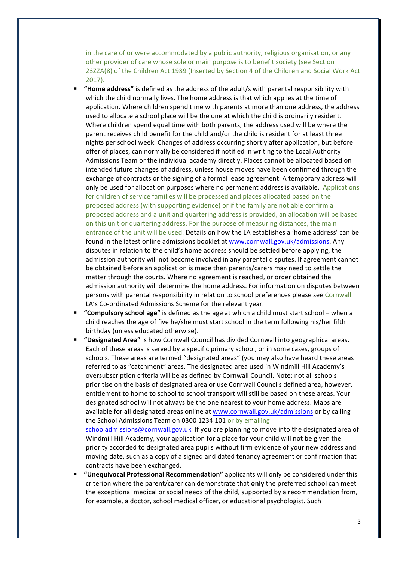in the care of or were accommodated by a public authority, religious organisation, or any other provider of care whose sole or main purpose is to benefit society (see Section 23ZZA(8) of the Children Act 1989 (Inserted by Section 4 of the Children and Social Work Act 2017).

- **"Home address"** is defined as the address of the adult/s with parental responsibility with which the child normally lives. The home address is that which applies at the time of application. Where children spend time with parents at more than one address, the address used to allocate a school place will be the one at which the child is ordinarily resident. Where children spend equal time with both parents, the address used will be where the parent receives child benefit for the child and/or the child is resident for at least three nights per school week. Changes of address occurring shortly after application, but before offer of places, can normally be considered if notified in writing to the Local Authority Admissions Team or the individual academy directly. Places cannot be allocated based on intended future changes of address, unless house moves have been confirmed through the exchange of contracts or the signing of a formal lease agreement. A temporary address will only be used for allocation purposes where no permanent address is available. Applications for children of service families will be processed and places allocated based on the proposed address (with supporting evidence) or if the family are not able confirm a proposed address and a unit and quartering address is provided, an allocation will be based on this unit or quartering address. For the purpose of measuring distances, the main entrance of the unit will be used. Details on how the LA establishes a 'home address' can be found in the latest online admissions booklet at www.cornwall.gov.uk/admissions. Any disputes in relation to the child's home address should be settled before applying, the admission authority will not become involved in any parental disputes. If agreement cannot be obtained before an application is made then parents/carers may need to settle the matter through the courts. Where no agreement is reached, or order obtained the admission authority will determine the home address. For information on disputes between persons with parental responsibility in relation to school preferences please see Cornwall LA's Co-ordinated Admissions Scheme for the relevant year.
- **"Compulsory school age"** is defined as the age at which a child must start school when a child reaches the age of five he/she must start school in the term following his/her fifth birthday (unless educated otherwise).
- "Designated Area" is how Cornwall Council has divided Cornwall into geographical areas. Each of these areas is served by a specific primary school, or in some cases, groups of schools. These areas are termed "designated areas" (you may also have heard these areas referred to as "catchment" areas. The designated area used in Windmill Hill Academy's oversubscription criteria will be as defined by Cornwall Council. Note: not all schools prioritise on the basis of designated area or use Cornwall Councils defined area, however, entitlement to home to school to school transport will still be based on these areas. Your designated school will not always be the one nearest to your home address. Maps are available for all designated areas online at www.cornwall.gov.uk/admissions or by calling the School Admissions Team on 0300 1234 101 or by emailing schooladmissions@cornwall.gov.uk If you are planning to move into the designated area of Windmill Hill Academy, your application for a place for your child will not be given the priority accorded to designated area pupils without firm evidence of your new address and moving date, such as a copy of a signed and dated tenancy agreement or confirmation that contracts have been exchanged.
- "Unequivocal Professional Recommendation" applicants will only be considered under this criterion where the parent/carer can demonstrate that **only** the preferred school can meet the exceptional medical or social needs of the child, supported by a recommendation from, for example, a doctor, school medical officer, or educational psychologist. Such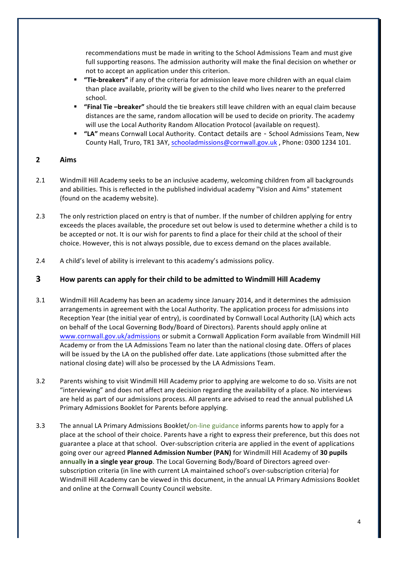recommendations must be made in writing to the School Admissions Team and must give full supporting reasons. The admission authority will make the final decision on whether or not to accept an application under this criterion.

- **"Tie-breakers"** if any of the criteria for admission leave more children with an equal claim than place available, priority will be given to the child who lives nearer to the preferred school.
- **"Final Tie -breaker"** should the tie breakers still leave children with an equal claim because distances are the same, random allocation will be used to decide on priority. The academy will use the Local Authority Random Allocation Protocol (available on request).
- **"LA"** means Cornwall Local Authority. Contact details are School Admissions Team, New County Hall, Truro, TR1 3AY, schooladmissions@cornwall.gov.uk, Phone: 0300 1234 101.

# **2 Aims**

- 2.1 Windmill Hill Academy seeks to be an inclusive academy, welcoming children from all backgrounds and abilities. This is reflected in the published individual academy "Vision and Aims" statement (found on the academy website).
- 2.3 The only restriction placed on entry is that of number. If the number of children applying for entry exceeds the places available, the procedure set out below is used to determine whether a child is to be accepted or not. It is our wish for parents to find a place for their child at the school of their choice. However, this is not always possible, due to excess demand on the places available.
- 2.4 A child's level of ability is irrelevant to this academy's admissions policy.

## **3 How parents can apply for their child to be admitted to Windmill Hill Academy**

- 3.1 Windmill Hill Academy has been an academy since January 2014, and it determines the admission arrangements in agreement with the Local Authority. The application process for admissions into Reception Year (the initial year of entry), is coordinated by Cornwall Local Authority (LA) which acts on behalf of the Local Governing Body/Board of Directors). Parents should apply online at www.cornwall.gov.uk/admissions or submit a Cornwall Application Form available from Windmill Hill Academy or from the LA Admissions Team no later than the national closing date. Offers of places will be issued by the LA on the published offer date. Late applications (those submitted after the national closing date) will also be processed by the LA Admissions Team.
- 3.2 Parents wishing to visit Windmill Hill Academy prior to applying are welcome to do so. Visits are not "interviewing" and does not affect any decision regarding the availability of a place. No interviews are held as part of our admissions process. All parents are advised to read the annual published LA Primary Admissions Booklet for Parents before applying.
- 3.3 The annual LA Primary Admissions Booklet/on-line guidance informs parents how to apply for a place at the school of their choice. Parents have a right to express their preference, but this does not guarantee a place at that school. Over-subscription criteria are applied in the event of applications going over our agreed **Planned Admission Number (PAN)** for Windmill Hill Academy of 30 pupils annually in a single year group. The Local Governing Body/Board of Directors agreed oversubscription criteria (in line with current LA maintained school's over-subscription criteria) for Windmill Hill Academy can be viewed in this document, in the annual LA Primary Admissions Booklet and online at the Cornwall County Council website.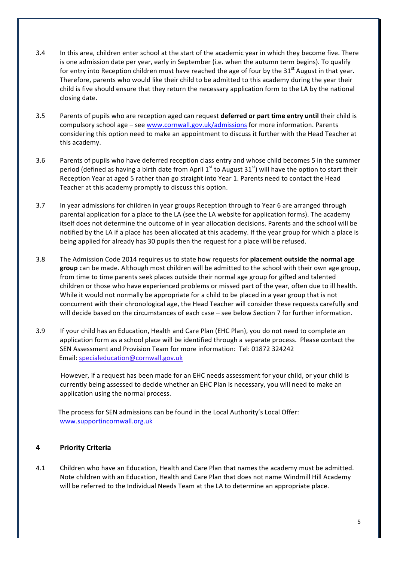- 3.4 In this area, children enter school at the start of the academic year in which they become five. There is one admission date per year, early in September (i.e. when the autumn term begins). To qualify for entry into Reception children must have reached the age of four by the 31<sup>st</sup> August in that year. Therefore, parents who would like their child to be admitted to this academy during the year their child is five should ensure that they return the necessary application form to the LA by the national closing date.
- 3.5 Parents of pupils who are reception aged can request **deferred or part time entry until** their child is compulsory school age – see www.cornwall.gov.uk/admissions for more information. Parents considering this option need to make an appointment to discuss it further with the Head Teacher at this academy.
- 3.6 Parents of pupils who have deferred reception class entry and whose child becomes 5 in the summer period (defined as having a birth date from April  $1^{st}$  to August  $31^{st}$ ) will have the option to start their Reception Year at aged 5 rather than go straight into Year 1. Parents need to contact the Head Teacher at this academy promptly to discuss this option.
- 3.7 In year admissions for children in year groups Reception through to Year 6 are arranged through parental application for a place to the LA (see the LA website for application forms). The academy itself does not determine the outcome of in year allocation decisions. Parents and the school will be notified by the LA if a place has been allocated at this academy. If the year group for which a place is being applied for already has 30 pupils then the request for a place will be refused.
- 3.8 The Admission Code 2014 requires us to state how requests for **placement outside the normal age** group can be made. Although most children will be admitted to the school with their own age group, from time to time parents seek places outside their normal age group for gifted and talented children or those who have experienced problems or missed part of the year, often due to ill health. While it would not normally be appropriate for a child to be placed in a year group that is not concurrent with their chronological age, the Head Teacher will consider these requests carefully and will decide based on the circumstances of each case – see below Section 7 for further information.
- 3.9 If your child has an Education, Health and Care Plan (EHC Plan), you do not need to complete an application form as a school place will be identified through a separate process. Please contact the SEN Assessment and Provision Team for more information: Tel: 01872 324242 Email: specialeducation@cornwall.gov.uk

However, if a request has been made for an EHC needs assessment for your child, or your child is currently being assessed to decide whether an EHC Plan is necessary, you will need to make an application using the normal process.

The process for SEN admissions can be found in the Local Authority's Local Offer: www.supportincornwall.org.uk

## **4 Priority Criteria**

4.1 Children who have an Education, Health and Care Plan that names the academy must be admitted. Note children with an Education, Health and Care Plan that does not name Windmill Hill Academy will be referred to the Individual Needs Team at the LA to determine an appropriate place.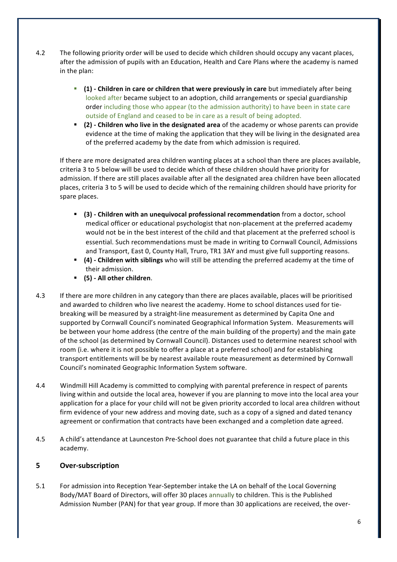- 4.2 The following priority order will be used to decide which children should occupy any vacant places, after the admission of pupils with an Education, Health and Care Plans where the academy is named in the plan:
	- **E** (1) Children in care or children that were previously in care but immediately after being looked after became subject to an adoption, child arrangements or special guardianship order including those who appear (to the admission authority) to have been in state care outside of England and ceased to be in care as a result of being adopted.
	- **(2)** Children who live in the designated area of the academy or whose parents can provide evidence at the time of making the application that they will be living in the designated area of the preferred academy by the date from which admission is required.

If there are more designated area children wanting places at a school than there are places available, criteria 3 to 5 below will be used to decide which of these children should have priority for admission. If there are still places available after all the designated area children have been allocated places, criteria 3 to 5 will be used to decide which of the remaining children should have priority for spare places.

- **•** (3) Children with an unequivocal professional recommendation from a doctor, school medical officer or educational psychologist that non-placement at the preferred academy would not be in the best interest of the child and that placement at the preferred school is essential. Such recommendations must be made in writing to Cornwall Council, Admissions and Transport, East 0, County Hall, Truro, TR1 3AY and must give full supporting reasons.
- **•** (4) Children with siblings who will still be attending the preferred academy at the time of their admission.
- § **(5) - All other children**.
- 4.3 If there are more children in any category than there are places available, places will be prioritised and awarded to children who live nearest the academy. Home to school distances used for tiebreaking will be measured by a straight-line measurement as determined by Capita One and supported by Cornwall Council's nominated Geographical Information System. Measurements will be between your home address (the centre of the main building of the property) and the main gate of the school (as determined by Cornwall Council). Distances used to determine nearest school with room (i.e. where it is not possible to offer a place at a preferred school) and for establishing transport entitlements will be by nearest available route measurement as determined by Cornwall Council's nominated Geographic Information System software.
- 4.4 Windmill Hill Academy is committed to complying with parental preference in respect of parents living within and outside the local area, however if you are planning to move into the local area your application for a place for your child will not be given priority accorded to local area children without firm evidence of your new address and moving date, such as a copy of a signed and dated tenancy agreement or confirmation that contracts have been exchanged and a completion date agreed.
- 4.5 A child's attendance at Launceston Pre-School does not guarantee that child a future place in this academy.

# **5 Over-subscription**

5.1 For admission into Reception Year-September intake the LA on behalf of the Local Governing Body/MAT Board of Directors, will offer 30 places annually to children. This is the Published Admission Number (PAN) for that year group. If more than 30 applications are received, the over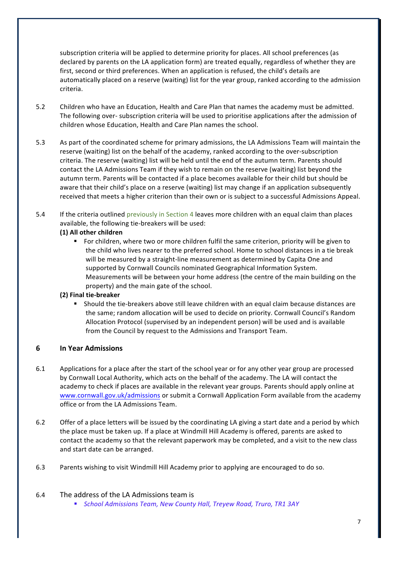subscription criteria will be applied to determine priority for places. All school preferences (as declared by parents on the LA application form) are treated equally, regardless of whether they are first, second or third preferences. When an application is refused, the child's details are automatically placed on a reserve (waiting) list for the year group, ranked according to the admission criteria.

- 5.2 Children who have an Education, Health and Care Plan that names the academy must be admitted. The following over- subscription criteria will be used to prioritise applications after the admission of children whose Education, Health and Care Plan names the school.
- 5.3 As part of the coordinated scheme for primary admissions, the LA Admissions Team will maintain the reserve (waiting) list on the behalf of the academy, ranked according to the over-subscription criteria. The reserve (waiting) list will be held until the end of the autumn term. Parents should contact the LA Admissions Team if they wish to remain on the reserve (waiting) list beyond the autumn term. Parents will be contacted if a place becomes available for their child but should be aware that their child's place on a reserve (waiting) list may change if an application subsequently received that meets a higher criterion than their own or is subject to a successful Admissions Appeal.
- 5.4 If the criteria outlined previously in Section 4 leaves more children with an equal claim than places available, the following tie-breakers will be used:

#### **(1) All other children**

■ For children, where two or more children fulfil the same criterion, priority will be given to the child who lives nearer to the preferred school. Home to school distances in a tie break will be measured by a straight-line measurement as determined by Capita One and supported by Cornwall Councils nominated Geographical Information System. Measurements will be between your home address (the centre of the main building on the property) and the main gate of the school.

#### **(2) Final tie-breaker**

Should the tie-breakers above still leave children with an equal claim because distances are the same; random allocation will be used to decide on priority. Cornwall Council's Random Allocation Protocol (supervised by an independent person) will be used and is available from the Council by request to the Admissions and Transport Team.

## **6 In Year Admissions**

- 6.1 Applications for a place after the start of the school year or for any other year group are processed by Cornwall Local Authority, which acts on the behalf of the academy. The LA will contact the academy to check if places are available in the relevant year groups. Parents should apply online at www.cornwall.gov.uk/admissions or submit a Cornwall Application Form available from the academy office or from the LA Admissions Team.
- 6.2 Offer of a place letters will be issued by the coordinating LA giving a start date and a period by which the place must be taken up. If a place at Windmill Hill Academy is offered, parents are asked to contact the academy so that the relevant paperwork may be completed, and a visit to the new class and start date can be arranged.
- 6.3 Parents wishing to visit Windmill Hill Academy prior to applying are encouraged to do so.

#### 6.4 The address of the LA Admissions team is

■ *School Admissions Team, New County Hall, Treyew Road, Truro, TR1 3AY*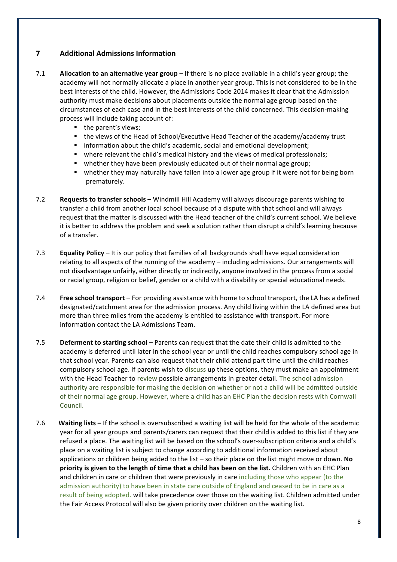# **7 Additional Admissions Information**

- 7.1 **Allocation to an alternative year group** If there is no place available in a child's year group; the academy will not normally allocate a place in another year group. This is not considered to be in the best interests of the child. However, the Admissions Code 2014 makes it clear that the Admission authority must make decisions about placements outside the normal age group based on the circumstances of each case and in the best interests of the child concerned. This decision-making process will include taking account of:
	- the parent's views;
	- $\blacksquare$  the views of the Head of School/Executive Head Teacher of the academy/academy trust
	- information about the child's academic, social and emotional development;
	- where relevant the child's medical history and the views of medical professionals;
	- whether they have been previously educated out of their normal age group;
	- whether they may naturally have fallen into a lower age group if it were not for being born prematurely.
- 7.2 **Requests to transfer schools** Windmill Hill Academy will always discourage parents wishing to transfer a child from another local school because of a dispute with that school and will always request that the matter is discussed with the Head teacher of the child's current school. We believe it is better to address the problem and seek a solution rather than disrupt a child's learning because of a transfer.
- 7.3 **Equality Policy** It is our policy that families of all backgrounds shall have equal consideration relating to all aspects of the running of the academy - including admissions. Our arrangements will not disadvantage unfairly, either directly or indirectly, anyone involved in the process from a social or racial group, religion or belief, gender or a child with a disability or special educational needs.
- 7.4 **Free school transport** For providing assistance with home to school transport, the LA has a defined designated/catchment area for the admission process. Any child living within the LA defined area but more than three miles from the academy is entitled to assistance with transport. For more information contact the LA Admissions Team.
- 7.5 **Deferment to starting school** Parents can request that the date their child is admitted to the academy is deferred until later in the school year or until the child reaches compulsory school age in that school year. Parents can also request that their child attend part time until the child reaches compulsory school age. If parents wish to discuss up these options, they must make an appointment with the Head Teacher to review possible arrangements in greater detail. The school admission authority are responsible for making the decision on whether or not a child will be admitted outside of their normal age group. However, where a child has an EHC Plan the decision rests with Cornwall Council.
- 7.6 Waiting lists If the school is oversubscribed a waiting list will be held for the whole of the academic year for all year groups and parents/carers can request that their child is added to this list if they are refused a place. The waiting list will be based on the school's over-subscription criteria and a child's place on a waiting list is subject to change according to additional information received about applications or children being added to the list – so their place on the list might move or down. No **priority** is given to the length of time that a child has been on the list. Children with an EHC Plan and children in care or children that were previously in care including those who appear (to the admission authority) to have been in state care outside of England and ceased to be in care as a result of being adopted. will take precedence over those on the waiting list. Children admitted under the Fair Access Protocol will also be given priority over children on the waiting list.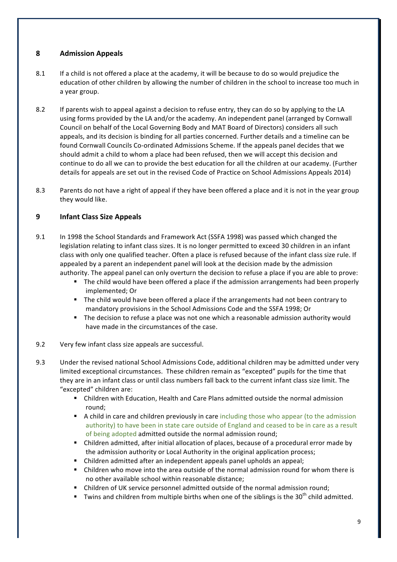# **8 Admission Appeals**

- 8.1 If a child is not offered a place at the academy, it will be because to do so would prejudice the education of other children by allowing the number of children in the school to increase too much in a year group.
- 8.2 If parents wish to appeal against a decision to refuse entry, they can do so by applying to the LA using forms provided by the LA and/or the academy. An independent panel (arranged by Cornwall Council on behalf of the Local Governing Body and MAT Board of Directors) considers all such appeals, and its decision is binding for all parties concerned. Further details and a timeline can be found Cornwall Councils Co-ordinated Admissions Scheme. If the appeals panel decides that we should admit a child to whom a place had been refused, then we will accept this decision and continue to do all we can to provide the best education for all the children at our academy. (Further details for appeals are set out in the revised Code of Practice on School Admissions Appeals 2014)
- 8.3 Parents do not have a right of appeal if they have been offered a place and it is not in the year group they would like.

# **9 Infant Class Size Appeals**

- 9.1 In 1998 the School Standards and Framework Act (SSFA 1998) was passed which changed the legislation relating to infant class sizes. It is no longer permitted to exceed 30 children in an infant class with only one qualified teacher. Often a place is refused because of the infant class size rule. If appealed by a parent an independent panel will look at the decision made by the admission authority. The appeal panel can only overturn the decision to refuse a place if you are able to prove:
	- The child would have been offered a place if the admission arrangements had been properly implemented; Or
	- The child would have been offered a place if the arrangements had not been contrary to mandatory provisions in the School Admissions Code and the SSFA 1998; Or
	- The decision to refuse a place was not one which a reasonable admission authority would have made in the circumstances of the case.
- 9.2 Very few infant class size appeals are successful.
- 9.3 Under the revised national School Admissions Code, additional children may be admitted under very limited exceptional circumstances. These children remain as "excepted" pupils for the time that they are in an infant class or until class numbers fall back to the current infant class size limit. The "excepted" children are:
	- Children with Education, Health and Care Plans admitted outside the normal admission round;
	- A child in care and children previously in care including those who appear (to the admission authority) to have been in state care outside of England and ceased to be in care as a result of being adopted admitted outside the normal admission round;
	- Children admitted, after initial allocation of places, because of a procedural error made by the admission authority or Local Authority in the original application process;
	- Children admitted after an independent appeals panel upholds an appeal;
	- Children who move into the area outside of the normal admission round for whom there is no other available school within reasonable distance:
	- Children of UK service personnel admitted outside of the normal admission round;
	- **F** Twins and children from multiple births when one of the siblings is the 30<sup>th</sup> child admitted.